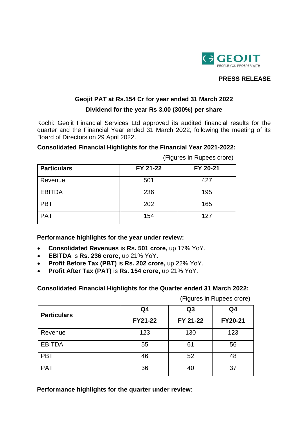

# **PRESS RELEASE**

### **Geojit PAT at Rs.154 Cr for year ended 31 March 2022**

#### **Dividend for the year Rs 3.00 (300%) per share**

Kochi: Geojit Financial Services Ltd approved its audited financial results for the quarter and the Financial Year ended 31 March 2022, following the meeting of its Board of Directors on 29 April 2022.

## **Consolidated Financial Highlights for the Financial Year 2021-2022:**

| <b>Particulars</b> | FY 21-22 | FY 20-21 |
|--------------------|----------|----------|
| Revenue            | 501      | 427      |
| <b>EBITDA</b>      | 236      | 195      |
| <b>PBT</b>         | 202      | 165      |
| <b>PAT</b>         | 154      | 127      |

(Figures in Rupees crore)

**Performance highlights for the year under review:**

- **Consolidated Revenues** is **Rs. 501 crore,** up 17% YoY.
- **EBITDA** is **Rs. 236 crore,** up 21% YoY.
- **Profit Before Tax (PBT)** is **Rs. 202 crore,** up 22% YoY.
- **Profit After Tax (PAT)** is **Rs. 154 crore,** up 21% YoY.

**Consolidated Financial Highlights for the Quarter ended 31 March 2022:** 

(Figures in Rupees crore)

| <b>Particulars</b> | Q <sub>4</sub> | Q <sub>3</sub> | Q <sub>4</sub> |
|--------------------|----------------|----------------|----------------|
|                    | FY21-22        | FY 21-22       | FY20-21        |
| Revenue            | 123            | 130            | 123            |
| <b>EBITDA</b>      | 55             | 61             | 56             |
| <b>PBT</b>         | 46             | 52             | 48             |
| <b>PAT</b>         | 36             | 40             | 37             |

**Performance highlights for the quarter under review:**